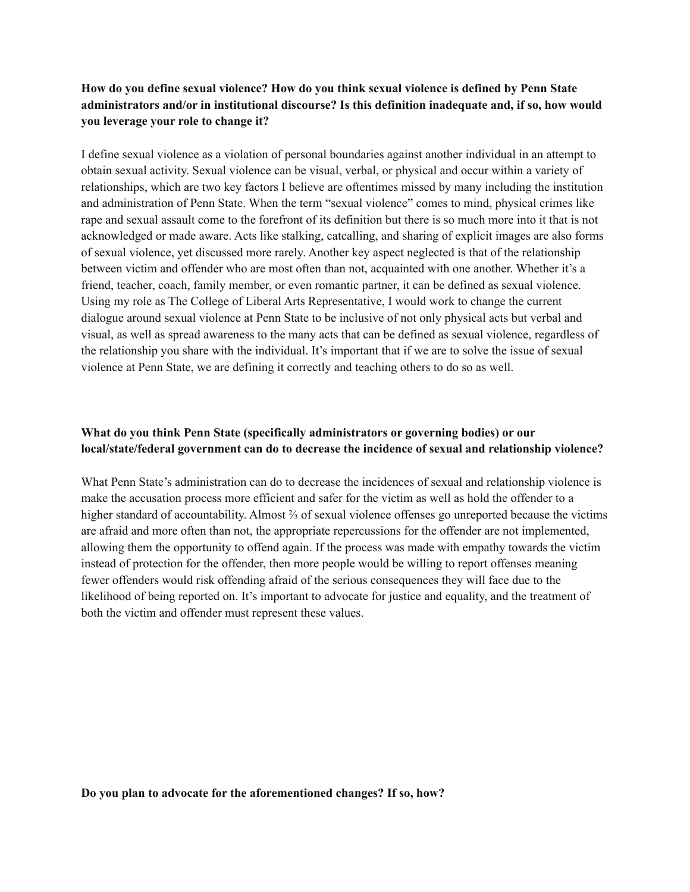## **How do you define sexual violence? How do you think sexual violence is defined by Penn State administrators and/or in institutional discourse? Is this definition inadequate and, if so, how would you leverage your role to change it?**

I define sexual violence as a violation of personal boundaries against another individual in an attempt to obtain sexual activity. Sexual violence can be visual, verbal, or physical and occur within a variety of relationships, which are two key factors I believe are oftentimes missed by many including the institution and administration of Penn State. When the term "sexual violence" comes to mind, physical crimes like rape and sexual assault come to the forefront of its definition but there is so much more into it that is not acknowledged or made aware. Acts like stalking, catcalling, and sharing of explicit images are also forms of sexual violence, yet discussed more rarely. Another key aspect neglected is that of the relationship between victim and offender who are most often than not, acquainted with one another. Whether it's a friend, teacher, coach, family member, or even romantic partner, it can be defined as sexual violence. Using my role as The College of Liberal Arts Representative, I would work to change the current dialogue around sexual violence at Penn State to be inclusive of not only physical acts but verbal and visual, as well as spread awareness to the many acts that can be defined as sexual violence, regardless of the relationship you share with the individual. It's important that if we are to solve the issue of sexual violence at Penn State, we are defining it correctly and teaching others to do so as well.

## **What do you think Penn State (specifically administrators or governing bodies) or our local/state/federal government can do to decrease the incidence of sexual and relationship violence?**

What Penn State's administration can do to decrease the incidences of sexual and relationship violence is make the accusation process more efficient and safer for the victim as well as hold the offender to a higher standard of accountability. Almost ⅔ of sexual violence offenses go unreported because the victims are afraid and more often than not, the appropriate repercussions for the offender are not implemented, allowing them the opportunity to offend again. If the process was made with empathy towards the victim instead of protection for the offender, then more people would be willing to report offenses meaning fewer offenders would risk offending afraid of the serious consequences they will face due to the likelihood of being reported on. It's important to advocate for justice and equality, and the treatment of both the victim and offender must represent these values.

## **Do you plan to advocate for the aforementioned changes? If so, how?**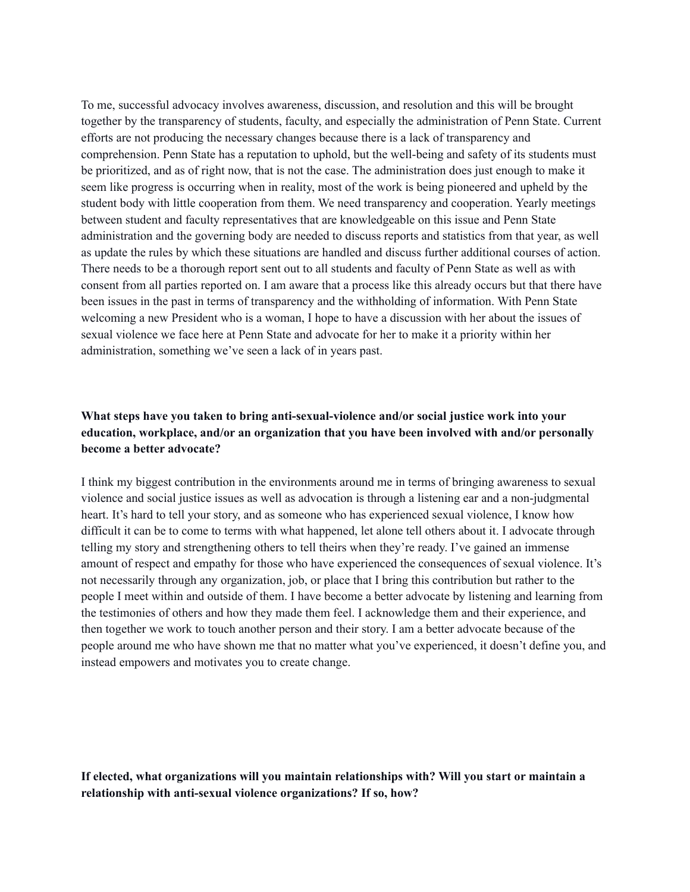To me, successful advocacy involves awareness, discussion, and resolution and this will be brought together by the transparency of students, faculty, and especially the administration of Penn State. Current efforts are not producing the necessary changes because there is a lack of transparency and comprehension. Penn State has a reputation to uphold, but the well-being and safety of its students must be prioritized, and as of right now, that is not the case. The administration does just enough to make it seem like progress is occurring when in reality, most of the work is being pioneered and upheld by the student body with little cooperation from them. We need transparency and cooperation. Yearly meetings between student and faculty representatives that are knowledgeable on this issue and Penn State administration and the governing body are needed to discuss reports and statistics from that year, as well as update the rules by which these situations are handled and discuss further additional courses of action. There needs to be a thorough report sent out to all students and faculty of Penn State as well as with consent from all parties reported on. I am aware that a process like this already occurs but that there have been issues in the past in terms of transparency and the withholding of information. With Penn State welcoming a new President who is a woman, I hope to have a discussion with her about the issues of sexual violence we face here at Penn State and advocate for her to make it a priority within her administration, something we've seen a lack of in years past.

## **What steps have you taken to bring anti-sexual-violence and/or social justice work into your education, workplace, and/or an organization that you have been involved with and/or personally become a better advocate?**

I think my biggest contribution in the environments around me in terms of bringing awareness to sexual violence and social justice issues as well as advocation is through a listening ear and a non-judgmental heart. It's hard to tell your story, and as someone who has experienced sexual violence, I know how difficult it can be to come to terms with what happened, let alone tell others about it. I advocate through telling my story and strengthening others to tell theirs when they're ready. I've gained an immense amount of respect and empathy for those who have experienced the consequences of sexual violence. It's not necessarily through any organization, job, or place that I bring this contribution but rather to the people I meet within and outside of them. I have become a better advocate by listening and learning from the testimonies of others and how they made them feel. I acknowledge them and their experience, and then together we work to touch another person and their story. I am a better advocate because of the people around me who have shown me that no matter what you've experienced, it doesn't define you, and instead empowers and motivates you to create change.

**If elected, what organizations will you maintain relationships with? Will you start or maintain a relationship with anti-sexual violence organizations? If so, how?**